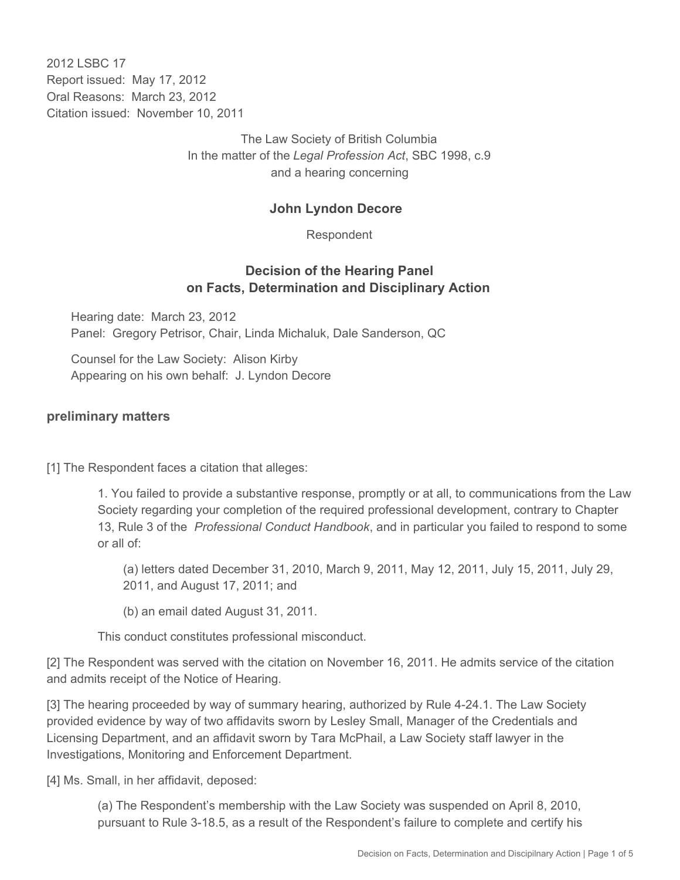2012 LSBC 17 Report issued: May 17, 2012 Oral Reasons: March 23, 2012 Citation issued: November 10, 2011

> The Law Society of British Columbia In the matter of the *Legal Profession Act*, SBC 1998, c.9 and a hearing concerning

#### **John Lyndon Decore**

Respondent

### **Decision of the Hearing Panel on Facts, Determination and Disciplinary Action**

Hearing date: March 23, 2012 Panel: Gregory Petrisor, Chair, Linda Michaluk, Dale Sanderson, QC

Counsel for the Law Society: Alison Kirby Appearing on his own behalf: J. Lyndon Decore

#### **preliminary matters**

[1] The Respondent faces a citation that alleges:

1. You failed to provide a substantive response, promptly or at all, to communications from the Law Society regarding your completion of the required professional development, contrary to Chapter 13, Rule 3 of the *Professional Conduct Handbook*, and in particular you failed to respond to some or all of:

(a) letters dated December 31, 2010, March 9, 2011, May 12, 2011, July 15, 2011, July 29, 2011, and August 17, 2011; and

(b) an email dated August 31, 2011.

This conduct constitutes professional misconduct.

[2] The Respondent was served with the citation on November 16, 2011. He admits service of the citation and admits receipt of the Notice of Hearing.

[3] The hearing proceeded by way of summary hearing, authorized by Rule 4-24.1. The Law Society provided evidence by way of two affidavits sworn by Lesley Small, Manager of the Credentials and Licensing Department, and an affidavit sworn by Tara McPhail, a Law Society staff lawyer in the Investigations, Monitoring and Enforcement Department.

[4] Ms. Small, in her affidavit, deposed:

(a) The Respondent's membership with the Law Society was suspended on April 8, 2010, pursuant to Rule 3-18.5, as a result of the Respondent's failure to complete and certify his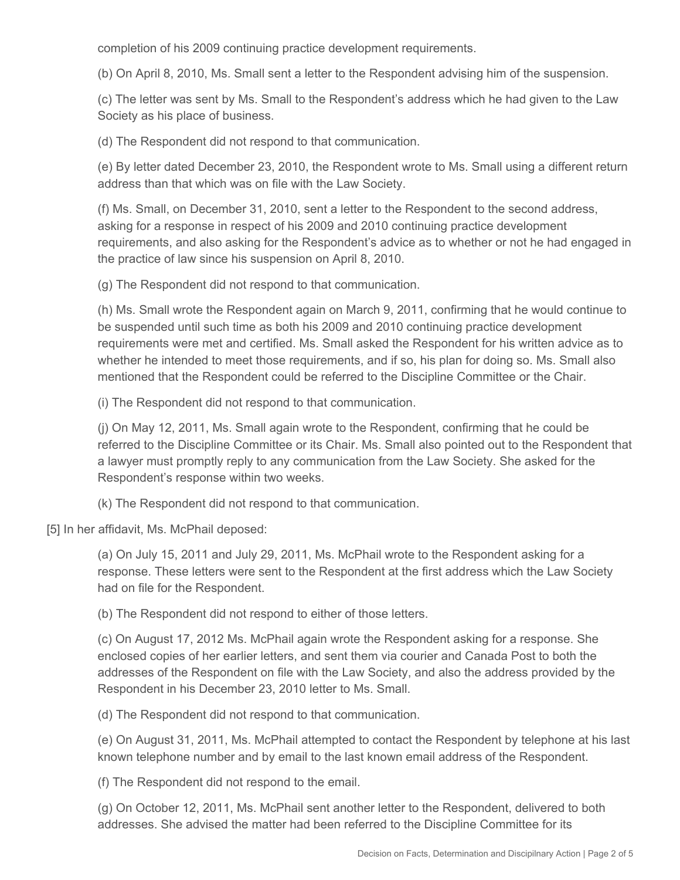completion of his 2009 continuing practice development requirements.

(b) On April 8, 2010, Ms. Small sent a letter to the Respondent advising him of the suspension.

(c) The letter was sent by Ms. Small to the Respondent's address which he had given to the Law Society as his place of business.

(d) The Respondent did not respond to that communication.

(e) By letter dated December 23, 2010, the Respondent wrote to Ms. Small using a different return address than that which was on file with the Law Society.

(f) Ms. Small, on December 31, 2010, sent a letter to the Respondent to the second address, asking for a response in respect of his 2009 and 2010 continuing practice development requirements, and also asking for the Respondent's advice as to whether or not he had engaged in the practice of law since his suspension on April 8, 2010.

(g) The Respondent did not respond to that communication.

(h) Ms. Small wrote the Respondent again on March 9, 2011, confirming that he would continue to be suspended until such time as both his 2009 and 2010 continuing practice development requirements were met and certified. Ms. Small asked the Respondent for his written advice as to whether he intended to meet those requirements, and if so, his plan for doing so. Ms. Small also mentioned that the Respondent could be referred to the Discipline Committee or the Chair.

(i) The Respondent did not respond to that communication.

(j) On May 12, 2011, Ms. Small again wrote to the Respondent, confirming that he could be referred to the Discipline Committee or its Chair. Ms. Small also pointed out to the Respondent that a lawyer must promptly reply to any communication from the Law Society. She asked for the Respondent's response within two weeks.

(k) The Respondent did not respond to that communication.

[5] In her affidavit, Ms. McPhail deposed:

(a) On July 15, 2011 and July 29, 2011, Ms. McPhail wrote to the Respondent asking for a response. These letters were sent to the Respondent at the first address which the Law Society had on file for the Respondent.

(b) The Respondent did not respond to either of those letters.

(c) On August 17, 2012 Ms. McPhail again wrote the Respondent asking for a response. She enclosed copies of her earlier letters, and sent them via courier and Canada Post to both the addresses of the Respondent on file with the Law Society, and also the address provided by the Respondent in his December 23, 2010 letter to Ms. Small.

(d) The Respondent did not respond to that communication.

(e) On August 31, 2011, Ms. McPhail attempted to contact the Respondent by telephone at his last known telephone number and by email to the last known email address of the Respondent.

(f) The Respondent did not respond to the email.

(g) On October 12, 2011, Ms. McPhail sent another letter to the Respondent, delivered to both addresses. She advised the matter had been referred to the Discipline Committee for its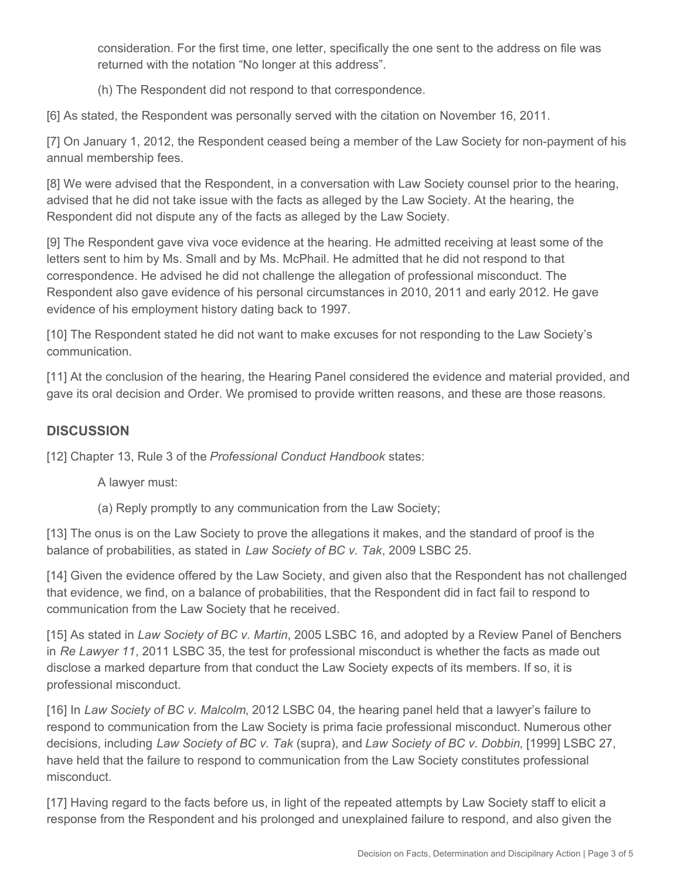consideration. For the first time, one letter, specifically the one sent to the address on file was returned with the notation "No longer at this address".

(h) The Respondent did not respond to that correspondence.

[6] As stated, the Respondent was personally served with the citation on November 16, 2011.

[7] On January 1, 2012, the Respondent ceased being a member of the Law Society for non-payment of his annual membership fees.

[8] We were advised that the Respondent, in a conversation with Law Society counsel prior to the hearing, advised that he did not take issue with the facts as alleged by the Law Society. At the hearing, the Respondent did not dispute any of the facts as alleged by the Law Society.

[9] The Respondent gave viva voce evidence at the hearing. He admitted receiving at least some of the letters sent to him by Ms. Small and by Ms. McPhail. He admitted that he did not respond to that correspondence. He advised he did not challenge the allegation of professional misconduct. The Respondent also gave evidence of his personal circumstances in 2010, 2011 and early 2012. He gave evidence of his employment history dating back to 1997.

[10] The Respondent stated he did not want to make excuses for not responding to the Law Society's communication.

[11] At the conclusion of the hearing, the Hearing Panel considered the evidence and material provided, and gave its oral decision and Order. We promised to provide written reasons, and these are those reasons.

## **DISCUSSION**

[12] Chapter 13, Rule 3 of the *Professional Conduct Handbook* states:

A lawyer must:

(a) Reply promptly to any communication from the Law Society;

[13] The onus is on the Law Society to prove the allegations it makes, and the standard of proof is the balance of probabilities, as stated in *Law Society of BC v. Tak*, 2009 LSBC 25.

[14] Given the evidence offered by the Law Society, and given also that the Respondent has not challenged that evidence, we find, on a balance of probabilities, that the Respondent did in fact fail to respond to communication from the Law Society that he received.

[15] As stated in *Law Society of BC v. Martin*, 2005 LSBC 16, and adopted by a Review Panel of Benchers in *Re Lawyer 11*, 2011 LSBC 35, the test for professional misconduct is whether the facts as made out disclose a marked departure from that conduct the Law Society expects of its members. If so, it is professional misconduct.

[16] In *Law Society of BC v. Malcolm*, 2012 LSBC 04, the hearing panel held that a lawyer's failure to respond to communication from the Law Society is prima facie professional misconduct. Numerous other decisions, including *Law Society of BC v. Tak* (supra), and *Law Society of BC v. Dobbin*, [1999] LSBC 27, have held that the failure to respond to communication from the Law Society constitutes professional misconduct.

[17] Having regard to the facts before us, in light of the repeated attempts by Law Society staff to elicit a response from the Respondent and his prolonged and unexplained failure to respond, and also given the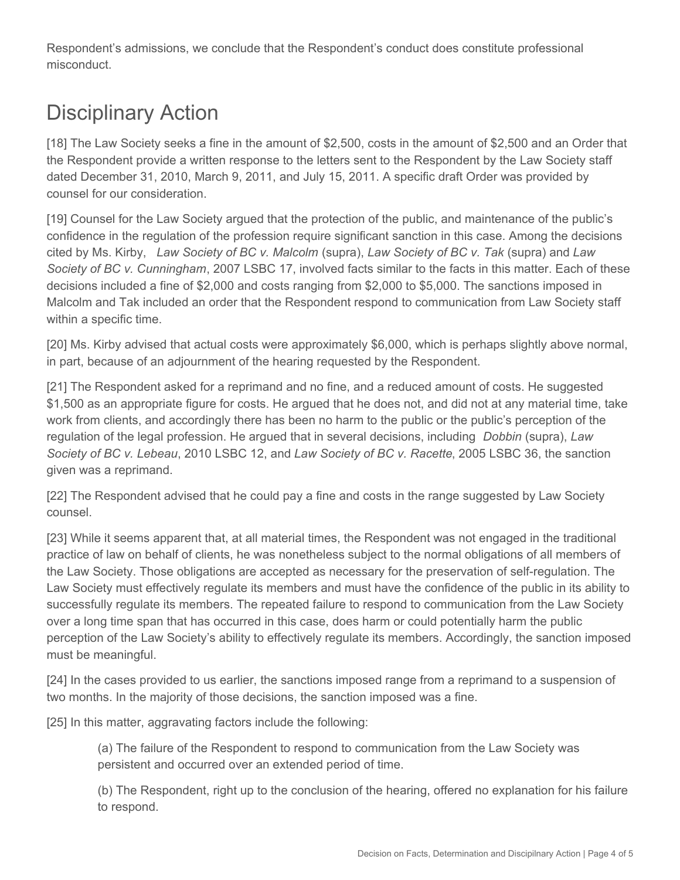Respondent's admissions, we conclude that the Respondent's conduct does constitute professional misconduct.

# Disciplinary Action

[18] The Law Society seeks a fine in the amount of \$2,500, costs in the amount of \$2,500 and an Order that the Respondent provide a written response to the letters sent to the Respondent by the Law Society staff dated December 31, 2010, March 9, 2011, and July 15, 2011. A specific draft Order was provided by counsel for our consideration.

[19] Counsel for the Law Society argued that the protection of the public, and maintenance of the public's confidence in the regulation of the profession require significant sanction in this case. Among the decisions cited by Ms. Kirby, *Law Society of BC v. Malcolm* (supra), *Law Society of BC v. Tak* (supra) and *Law Society of BC v. Cunningham*, 2007 LSBC 17, involved facts similar to the facts in this matter. Each of these decisions included a fine of \$2,000 and costs ranging from \$2,000 to \$5,000. The sanctions imposed in Malcolm and Tak included an order that the Respondent respond to communication from Law Society staff within a specific time.

[20] Ms. Kirby advised that actual costs were approximately \$6,000, which is perhaps slightly above normal, in part, because of an adjournment of the hearing requested by the Respondent.

[21] The Respondent asked for a reprimand and no fine, and a reduced amount of costs. He suggested \$1,500 as an appropriate figure for costs. He argued that he does not, and did not at any material time, take work from clients, and accordingly there has been no harm to the public or the public's perception of the regulation of the legal profession. He argued that in several decisions, including *Dobbin* (supra), *Law Society of BC v. Lebeau*, 2010 LSBC 12, and *Law Society of BC v. Racette*, 2005 LSBC 36, the sanction given was a reprimand.

[22] The Respondent advised that he could pay a fine and costs in the range suggested by Law Society counsel.

[23] While it seems apparent that, at all material times, the Respondent was not engaged in the traditional practice of law on behalf of clients, he was nonetheless subject to the normal obligations of all members of the Law Society. Those obligations are accepted as necessary for the preservation of self-regulation. The Law Society must effectively regulate its members and must have the confidence of the public in its ability to successfully regulate its members. The repeated failure to respond to communication from the Law Society over a long time span that has occurred in this case, does harm or could potentially harm the public perception of the Law Society's ability to effectively regulate its members. Accordingly, the sanction imposed must be meaningful.

[24] In the cases provided to us earlier, the sanctions imposed range from a reprimand to a suspension of two months. In the majority of those decisions, the sanction imposed was a fine.

[25] In this matter, aggravating factors include the following:

(a) The failure of the Respondent to respond to communication from the Law Society was persistent and occurred over an extended period of time.

(b) The Respondent, right up to the conclusion of the hearing, offered no explanation for his failure to respond.